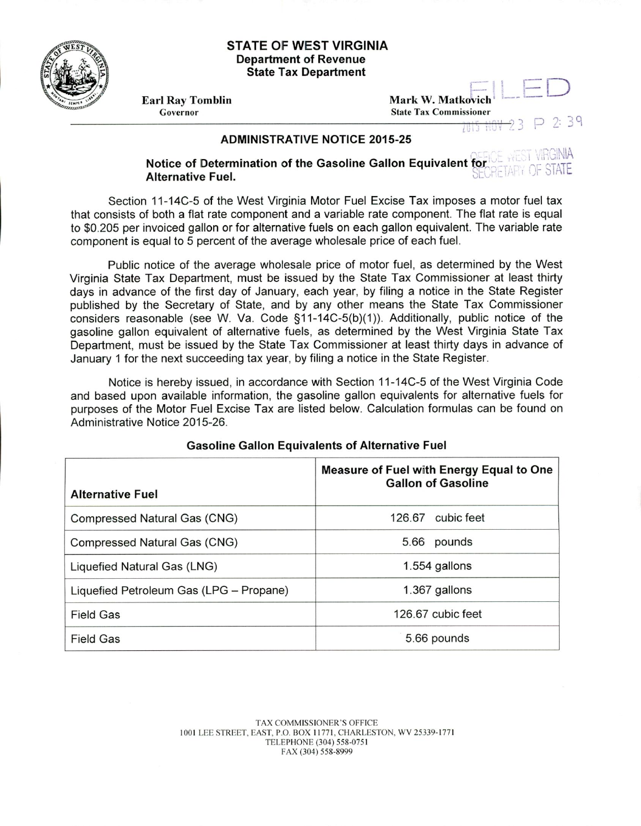

## **STATE OF WEST VIRGINIA Department of Revenue State Tax Department**

Earl Ray Tomblin<br>Governor Mark W. Matkovich

**State Tax Commissioner** 

 $P$  2:39 **AND ROA** 

## **ADMINISTRATIVE NOTICE 2015-25**

WEST VIRGINIA **Notice of Determination of the Gasoline Gallon Equivalent for the NEDIT VIRGINAL Alternative Fuel Alternative Fuel.**

Section 11-14C-5 of the West Virginia Motor Fuel Excise Tax imposes a motor fuel tax that consists of both a flat rate component and a variable rate component. The flat rate is equal to \$0205 per invoiced gallon or for alternative fuels on each gallon equivalent. The variable rate component is equal to 5 percent of the average wholesale price of each fuel.

Public notice of the average wholesale price of motor fuel, as determined by the West Virginia State Tax Department, must be issued by the State Tax Commissioner at least thirty days in advance of the first day of January, each year, by filing a notice in the State Register published by the Secretary of State, and by any other means the State Tax Commissioner considers reasonable (see W. Va. Code §11-14C-5(b)(1)). Additionally, public notice of the gasoline gallon equivalent of alternative fuels, as determined by the West Virginia State Tax Department, must be issued by the State Tax Commissioner at least thirty days in advance of January 1 for the next succeeding tax year, by filing a notice in the State Register.

Notice is hereby issued, in accordance with Section 11-14C-5 of the West Virginia Code and based upon available information, the gasoline gallon equivalents for alternative fuels for purposes of the Motor Fuel Excise Tax are listed below. Calculation formulas can be found on Administrative Notice 2015-26.

| <b>Alternative Fuel</b>                 | Measure of Fuel with Energy Equal to One<br><b>Gallon of Gasoline</b> |
|-----------------------------------------|-----------------------------------------------------------------------|
| Compressed Natural Gas (CNG)            | cubic feet<br>126.67                                                  |
| Compressed Natural Gas (CNG)            | pounds<br>5.66                                                        |
| Liquefied Natural Gas (LNG)             | 1.554 gallons                                                         |
| Liquefied Petroleum Gas (LPG - Propane) | 1.367 gallons                                                         |
| <b>Field Gas</b>                        | 126.67 cubic feet                                                     |
| <b>Field Gas</b>                        | 5.66 pounds                                                           |

## **Gasoline Gallon Equivalents of Alternative Fuel**